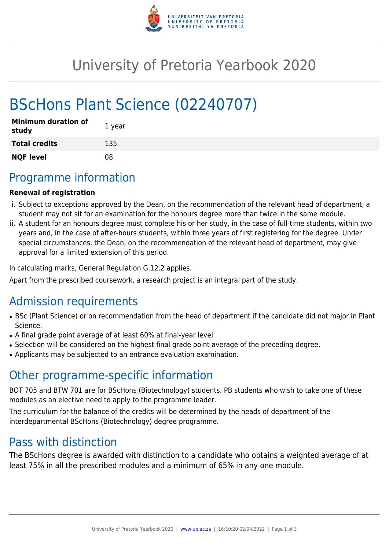

# University of Pretoria Yearbook 2020

# BScHons Plant Science (02240707)

| <b>Minimum duration of</b><br>study | 1 year |
|-------------------------------------|--------|
| <b>Total credits</b>                | 135    |
| <b>NQF level</b>                    | 08     |

## Programme information

#### **Renewal of registration**

- i. Subject to exceptions approved by the Dean, on the recommendation of the relevant head of department, a student may not sit for an examination for the honours degree more than twice in the same module.
- ii. A student for an honours degree must complete his or her study, in the case of full-time students, within two years and, in the case of after-hours students, within three years of first registering for the degree. Under special circumstances, the Dean, on the recommendation of the relevant head of department, may give approval for a limited extension of this period.

In calculating marks, General Regulation G.12.2 applies.

Apart from the prescribed coursework, a research project is an integral part of the study.

## Admission requirements

- BSc (Plant Science) or on recommendation from the head of department if the candidate did not major in Plant Science.
- A final grade point average of at least 60% at final-year level
- Selection will be considered on the highest final grade point average of the preceding degree.
- Applicants may be subjected to an entrance evaluation examination.

### Other programme-specific information

BOT 705 and BTW 701 are for BScHons (Biotechnology) students. PB students who wish to take one of these modules as an elective need to apply to the programme leader.

The curriculum for the balance of the credits will be determined by the heads of department of the interdepartmental BScHons (Biotechnology) degree programme.

### Pass with distinction

The BScHons degree is awarded with distinction to a candidate who obtains a weighted average of at least 75% in all the prescribed modules and a minimum of 65% in any one module.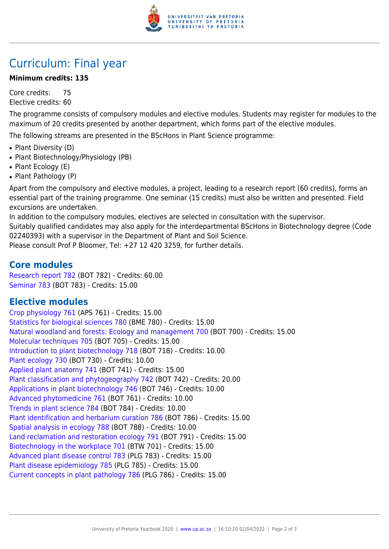

## Curriculum: Final year

#### **Minimum credits: 135**

Core credits: 75 Elective credits: 60

The programme consists of compulsory modules and elective modules. Students may register for modules to the maximum of 20 credits presented by another department, which forms part of the elective modules.

The following streams are presented in the BScHons in Plant Science programme:

- Plant Diversity (D)
- Plant Biotechnology/Physiology (PB)
- Plant Ecology (E)
- Plant Pathology (P)

Apart from the compulsory and elective modules, a project, leading to a research report (60 credits), forms an essential part of the training programme. One seminar (15 credits) must also be written and presented. Field excursions are undertaken.

In addition to the compulsory modules, electives are selected in consultation with the supervisor. Suitably qualified candidates may also apply for the interdepartmental BScHons in Biotechnology degree (Code

02240393) with a supervisor in the Department of Plant and Soil Science.

Please consult Prof P Bloomer, Tel: +27 12 420 3259, for further details.

#### **Core modules**

[Research report 782](https://www.up.ac.za/yearbooks/2020/modules/view/BOT 782) (BOT 782) - Credits: 60.00 [Seminar 783](https://www.up.ac.za/yearbooks/2020/modules/view/BOT 783) (BOT 783) - Credits: 15.00

#### **Elective modules**

[Crop physiology 761](https://www.up.ac.za/yearbooks/2020/modules/view/APS 761) (APS 761) - Credits: 15.00 [Statistics for biological sciences 780](https://www.up.ac.za/yearbooks/2020/modules/view/BME 780) (BME 780) - Credits: 15.00 [Natural woodland and forests: Ecology and management 700](https://www.up.ac.za/yearbooks/2020/modules/view/BOT 700) (BOT 700) - Credits: 15.00 [Molecular techniques 705](https://www.up.ac.za/yearbooks/2020/modules/view/BOT 705) (BOT 705) - Credits: 15.00 [Introduction to plant biotechnology 718](https://www.up.ac.za/yearbooks/2020/modules/view/BOT 718) (BOT 718) - Credits: 10.00 [Plant ecology 730](https://www.up.ac.za/yearbooks/2020/modules/view/BOT 730) (BOT 730) - Credits: 10.00 [Applied plant anatomy 741](https://www.up.ac.za/yearbooks/2020/modules/view/BOT 741) (BOT 741) - Credits: 15.00 [Plant classification and phytogeography 742](https://www.up.ac.za/yearbooks/2020/modules/view/BOT 742) (BOT 742) - Credits: 20.00 [Applications in plant biotechnology 746](https://www.up.ac.za/yearbooks/2020/modules/view/BOT 746) (BOT 746) - Credits: 10.00 [Advanced phytomedicine 761](https://www.up.ac.za/yearbooks/2020/modules/view/BOT 761) (BOT 761) - Credits: 10.00 [Trends in plant science 784](https://www.up.ac.za/yearbooks/2020/modules/view/BOT 784) (BOT 784) - Credits: 10.00 [Plant identification and herbarium curation 786](https://www.up.ac.za/yearbooks/2020/modules/view/BOT 786) (BOT 786) - Credits: 15.00 [Spatial analysis in ecology 788](https://www.up.ac.za/yearbooks/2020/modules/view/BOT 788) (BOT 788) - Credits: 10.00 [Land reclamation and restoration ecology 791](https://www.up.ac.za/yearbooks/2020/modules/view/BOT 791) (BOT 791) - Credits: 15.00 [Biotechnology in the workplace 701](https://www.up.ac.za/yearbooks/2020/modules/view/BTW 701) (BTW 701) - Credits: 15.00 [Advanced plant disease control 783](https://www.up.ac.za/yearbooks/2020/modules/view/PLG 783) (PLG 783) - Credits: 15.00 [Plant disease epidemiology 785](https://www.up.ac.za/yearbooks/2020/modules/view/PLG 785) (PLG 785) - Credits: 15.00 [Current concepts in plant pathology 786](https://www.up.ac.za/yearbooks/2020/modules/view/PLG 786) (PLG 786) - Credits: 15.00